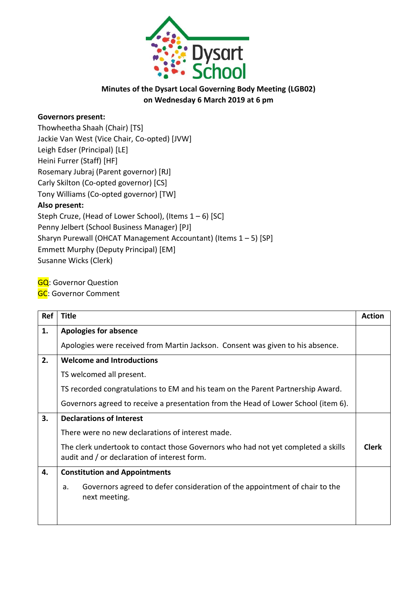

## **Minutes of the Dysart Local Governing Body Meeting (LGB02) on Wednesday 6 March 2019 at 6 pm**

## **Governors present:**

Thowheetha Shaah (Chair) [TS] Jackie Van West (Vice Chair, Co-opted) [JVW] Leigh Edser (Principal) [LE] Heini Furrer (Staff) [HF] Rosemary Jubraj (Parent governor) [RJ] Carly Skilton (Co-opted governor) [CS] Tony Williams (Co-opted governor) [TW] **Also present:** Steph Cruze, (Head of Lower School), (Items 1 – 6) [SC] Penny Jelbert (School Business Manager) [PJ] Sharyn Purewall (OHCAT Management Accountant) (Items 1 – 5) [SP] Emmett Murphy (Deputy Principal) [EM] Susanne Wicks (Clerk)

**GQ: Governor Question** 

**GC:** Governor Comment

| Ref | <b>Title</b>                                                                                                                      | <b>Action</b> |
|-----|-----------------------------------------------------------------------------------------------------------------------------------|---------------|
| 1.  | <b>Apologies for absence</b>                                                                                                      |               |
|     | Apologies were received from Martin Jackson. Consent was given to his absence.                                                    |               |
| 2.  | <b>Welcome and Introductions</b>                                                                                                  |               |
|     | TS welcomed all present.                                                                                                          |               |
|     | TS recorded congratulations to EM and his team on the Parent Partnership Award.                                                   |               |
|     | Governors agreed to receive a presentation from the Head of Lower School (item 6).                                                |               |
| 3.  | <b>Declarations of Interest</b>                                                                                                   |               |
|     | There were no new declarations of interest made.                                                                                  |               |
|     | The clerk undertook to contact those Governors who had not yet completed a skills<br>audit and / or declaration of interest form. | <b>Clerk</b>  |
| 4.  | <b>Constitution and Appointments</b>                                                                                              |               |
|     | Governors agreed to defer consideration of the appointment of chair to the<br>a.<br>next meeting.                                 |               |
|     |                                                                                                                                   |               |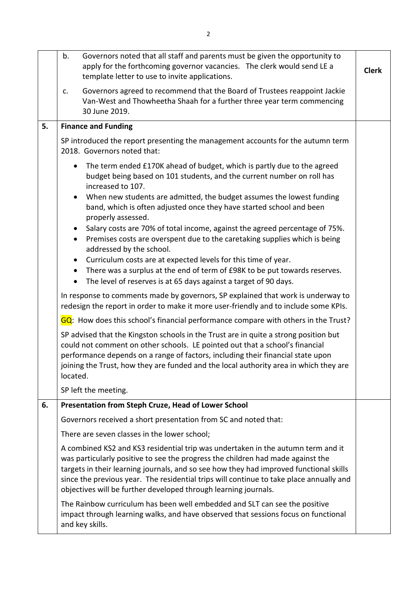|    | Governors noted that all staff and parents must be given the opportunity to<br>b.<br>apply for the forthcoming governor vacancies. The clerk would send LE a<br>template letter to use to invite applications. |                                                                                                                                                                                                                                                                                                                                                                                                                             | <b>Clerk</b> |
|----|----------------------------------------------------------------------------------------------------------------------------------------------------------------------------------------------------------------|-----------------------------------------------------------------------------------------------------------------------------------------------------------------------------------------------------------------------------------------------------------------------------------------------------------------------------------------------------------------------------------------------------------------------------|--------------|
|    | Governors agreed to recommend that the Board of Trustees reappoint Jackie<br>c.<br>Van-West and Thowheetha Shaah for a further three year term commencing<br>30 June 2019.                                     |                                                                                                                                                                                                                                                                                                                                                                                                                             |              |
| 5. | <b>Finance and Funding</b>                                                                                                                                                                                     |                                                                                                                                                                                                                                                                                                                                                                                                                             |              |
|    | SP introduced the report presenting the management accounts for the autumn term<br>2018. Governors noted that:                                                                                                 |                                                                                                                                                                                                                                                                                                                                                                                                                             |              |
|    | $\bullet$<br>$\bullet$                                                                                                                                                                                         | The term ended £170K ahead of budget, which is partly due to the agreed<br>budget being based on 101 students, and the current number on roll has<br>increased to 107.<br>When new students are admitted, the budget assumes the lowest funding<br>band, which is often adjusted once they have started school and been                                                                                                     |              |
|    |                                                                                                                                                                                                                | properly assessed.                                                                                                                                                                                                                                                                                                                                                                                                          |              |
|    | $\bullet$<br>$\bullet$                                                                                                                                                                                         | Salary costs are 70% of total income, against the agreed percentage of 75%.<br>Premises costs are overspent due to the caretaking supplies which is being<br>addressed by the school.                                                                                                                                                                                                                                       |              |
|    | $\bullet$<br>$\bullet$<br>$\bullet$                                                                                                                                                                            | Curriculum costs are at expected levels for this time of year.<br>There was a surplus at the end of term of £98K to be put towards reserves.<br>The level of reserves is at 65 days against a target of 90 days.                                                                                                                                                                                                            |              |
|    | In response to comments made by governors, SP explained that work is underway to<br>redesign the report in order to make it more user-friendly and to include some KPIs.                                       |                                                                                                                                                                                                                                                                                                                                                                                                                             |              |
|    |                                                                                                                                                                                                                | GQ: How does this school's financial performance compare with others in the Trust?                                                                                                                                                                                                                                                                                                                                          |              |
|    | located.                                                                                                                                                                                                       | SP advised that the Kingston schools in the Trust are in quite a strong position but<br>could not comment on other schools. LE pointed out that a school's financial<br>performance depends on a range of factors, including their financial state upon<br>joining the Trust, how they are funded and the local authority area in which they are                                                                            |              |
|    | SP left the meeting.                                                                                                                                                                                           |                                                                                                                                                                                                                                                                                                                                                                                                                             |              |
| 6. |                                                                                                                                                                                                                | Presentation from Steph Cruze, Head of Lower School                                                                                                                                                                                                                                                                                                                                                                         |              |
|    |                                                                                                                                                                                                                | Governors received a short presentation from SC and noted that:                                                                                                                                                                                                                                                                                                                                                             |              |
|    | There are seven classes in the lower school;                                                                                                                                                                   |                                                                                                                                                                                                                                                                                                                                                                                                                             |              |
|    |                                                                                                                                                                                                                | A combined KS2 and KS3 residential trip was undertaken in the autumn term and it<br>was particularly positive to see the progress the children had made against the<br>targets in their learning journals, and so see how they had improved functional skills<br>since the previous year. The residential trips will continue to take place annually and<br>objectives will be further developed through learning journals. |              |
|    |                                                                                                                                                                                                                | The Rainbow curriculum has been well embedded and SLT can see the positive<br>impact through learning walks, and have observed that sessions focus on functional<br>and key skills.                                                                                                                                                                                                                                         |              |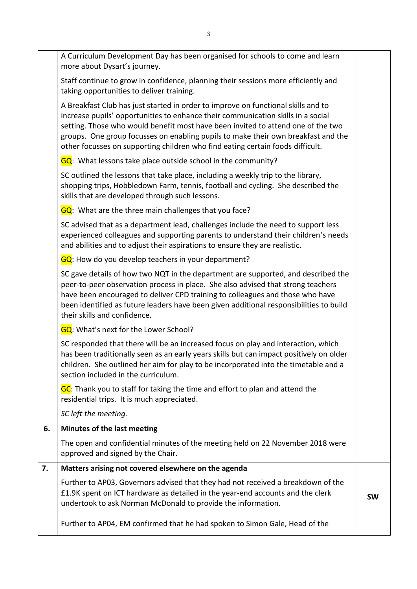|    | A Curriculum Development Day has been organised for schools to come and learn<br>more about Dysart's journey.                                                                                                                                                                                                                                                                                                                    |           |
|----|----------------------------------------------------------------------------------------------------------------------------------------------------------------------------------------------------------------------------------------------------------------------------------------------------------------------------------------------------------------------------------------------------------------------------------|-----------|
|    | Staff continue to grow in confidence, planning their sessions more efficiently and<br>taking opportunities to deliver training.                                                                                                                                                                                                                                                                                                  |           |
|    | A Breakfast Club has just started in order to improve on functional skills and to<br>increase pupils' opportunities to enhance their communication skills in a social<br>setting. Those who would benefit most have been invited to attend one of the two<br>groups. One group focusses on enabling pupils to make their own breakfast and the<br>other focusses on supporting children who find eating certain foods difficult. |           |
|    | GQ: What lessons take place outside school in the community?                                                                                                                                                                                                                                                                                                                                                                     |           |
|    | SC outlined the lessons that take place, including a weekly trip to the library,<br>shopping trips, Hobbledown Farm, tennis, football and cycling. She described the<br>skills that are developed through such lessons.                                                                                                                                                                                                          |           |
|    | GQ: What are the three main challenges that you face?                                                                                                                                                                                                                                                                                                                                                                            |           |
|    | SC advised that as a department lead, challenges include the need to support less<br>experienced colleagues and supporting parents to understand their children's needs<br>and abilities and to adjust their aspirations to ensure they are realistic.                                                                                                                                                                           |           |
|    | GQ: How do you develop teachers in your department?                                                                                                                                                                                                                                                                                                                                                                              |           |
|    | SC gave details of how two NQT in the department are supported, and described the<br>peer-to-peer observation process in place. She also advised that strong teachers<br>have been encouraged to deliver CPD training to colleagues and those who have<br>been identified as future leaders have been given additional responsibilities to build<br>their skills and confidence.                                                 |           |
|    | GQ: What's next for the Lower School?                                                                                                                                                                                                                                                                                                                                                                                            |           |
|    | SC responded that there will be an increased focus on play and interaction, which<br>has been traditionally seen as an early years skills but can impact positively on older<br>children. She outlined her aim for play to be incorporated into the timetable and a<br>section included in the curriculum.                                                                                                                       |           |
|    | GC: Thank you to staff for taking the time and effort to plan and attend the<br>residential trips. It is much appreciated.                                                                                                                                                                                                                                                                                                       |           |
|    | SC left the meeting.                                                                                                                                                                                                                                                                                                                                                                                                             |           |
| 6. | Minutes of the last meeting                                                                                                                                                                                                                                                                                                                                                                                                      |           |
|    | The open and confidential minutes of the meeting held on 22 November 2018 were<br>approved and signed by the Chair.                                                                                                                                                                                                                                                                                                              |           |
| 7. | Matters arising not covered elsewhere on the agenda                                                                                                                                                                                                                                                                                                                                                                              |           |
|    | Further to AP03, Governors advised that they had not received a breakdown of the<br>£1.9K spent on ICT hardware as detailed in the year-end accounts and the clerk<br>undertook to ask Norman McDonald to provide the information.                                                                                                                                                                                               | <b>SW</b> |
|    | Further to AP04, EM confirmed that he had spoken to Simon Gale, Head of the                                                                                                                                                                                                                                                                                                                                                      |           |
|    |                                                                                                                                                                                                                                                                                                                                                                                                                                  |           |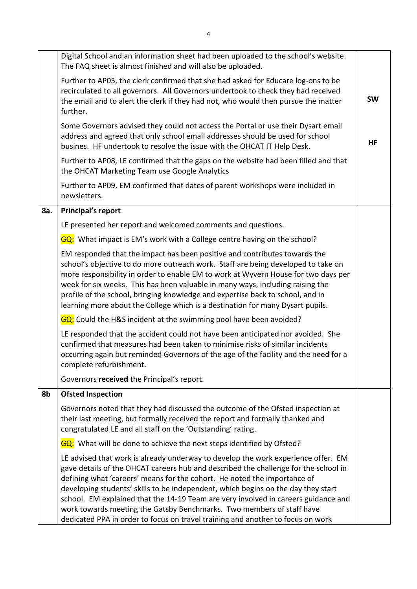|     | Digital School and an information sheet had been uploaded to the school's website.<br>The FAQ sheet is almost finished and will also be uploaded.                                                                                                                                                                                                                                                                                                                                                                                                                                           |           |
|-----|---------------------------------------------------------------------------------------------------------------------------------------------------------------------------------------------------------------------------------------------------------------------------------------------------------------------------------------------------------------------------------------------------------------------------------------------------------------------------------------------------------------------------------------------------------------------------------------------|-----------|
|     | Further to AP05, the clerk confirmed that she had asked for Educare log-ons to be<br>recirculated to all governors. All Governors undertook to check they had received<br>the email and to alert the clerk if they had not, who would then pursue the matter<br>further.                                                                                                                                                                                                                                                                                                                    | <b>SW</b> |
|     | Some Governors advised they could not access the Portal or use their Dysart email<br>address and agreed that only school email addresses should be used for school<br>busines. HF undertook to resolve the issue with the OHCAT IT Help Desk.                                                                                                                                                                                                                                                                                                                                               | HF        |
|     | Further to AP08, LE confirmed that the gaps on the website had been filled and that<br>the OHCAT Marketing Team use Google Analytics                                                                                                                                                                                                                                                                                                                                                                                                                                                        |           |
|     | Further to AP09, EM confirmed that dates of parent workshops were included in<br>newsletters.                                                                                                                                                                                                                                                                                                                                                                                                                                                                                               |           |
| 8a. | <b>Principal's report</b>                                                                                                                                                                                                                                                                                                                                                                                                                                                                                                                                                                   |           |
|     | LE presented her report and welcomed comments and questions.                                                                                                                                                                                                                                                                                                                                                                                                                                                                                                                                |           |
|     | GQ: What impact is EM's work with a College centre having on the school?                                                                                                                                                                                                                                                                                                                                                                                                                                                                                                                    |           |
|     | EM responded that the impact has been positive and contributes towards the<br>school's objective to do more outreach work. Staff are being developed to take on<br>more responsibility in order to enable EM to work at Wyvern House for two days per<br>week for six weeks. This has been valuable in many ways, including raising the<br>profile of the school, bringing knowledge and expertise back to school, and in<br>learning more about the College which is a destination for many Dysart pupils.                                                                                 |           |
|     | GQ: Could the H&S incident at the swimming pool have been avoided?                                                                                                                                                                                                                                                                                                                                                                                                                                                                                                                          |           |
|     | LE responded that the accident could not have been anticipated nor avoided. She<br>confirmed that measures had been taken to minimise risks of similar incidents<br>occurring again but reminded Governors of the age of the facility and the need for a<br>complete refurbishment.                                                                                                                                                                                                                                                                                                         |           |
|     | Governors received the Principal's report.                                                                                                                                                                                                                                                                                                                                                                                                                                                                                                                                                  |           |
| 8b  | <b>Ofsted Inspection</b>                                                                                                                                                                                                                                                                                                                                                                                                                                                                                                                                                                    |           |
|     | Governors noted that they had discussed the outcome of the Ofsted inspection at<br>their last meeting, but formally received the report and formally thanked and<br>congratulated LE and all staff on the 'Outstanding' rating.                                                                                                                                                                                                                                                                                                                                                             |           |
|     | GQ: What will be done to achieve the next steps identified by Ofsted?                                                                                                                                                                                                                                                                                                                                                                                                                                                                                                                       |           |
|     | LE advised that work is already underway to develop the work experience offer. EM<br>gave details of the OHCAT careers hub and described the challenge for the school in<br>defining what 'careers' means for the cohort. He noted the importance of<br>developing students' skills to be independent, which begins on the day they start<br>school. EM explained that the 14-19 Team are very involved in careers guidance and<br>work towards meeting the Gatsby Benchmarks. Two members of staff have<br>dedicated PPA in order to focus on travel training and another to focus on work |           |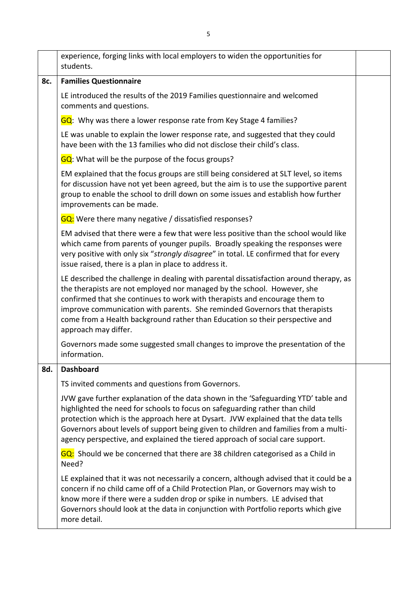|                                                                                                                                                                                                                                                                                                                         | experience, forging links with local employers to widen the opportunities for<br>students.                                                                                                                                                                                                                                                                                                                                            |  |
|-------------------------------------------------------------------------------------------------------------------------------------------------------------------------------------------------------------------------------------------------------------------------------------------------------------------------|---------------------------------------------------------------------------------------------------------------------------------------------------------------------------------------------------------------------------------------------------------------------------------------------------------------------------------------------------------------------------------------------------------------------------------------|--|
| 8c.                                                                                                                                                                                                                                                                                                                     | <b>Families Questionnaire</b>                                                                                                                                                                                                                                                                                                                                                                                                         |  |
|                                                                                                                                                                                                                                                                                                                         | LE introduced the results of the 2019 Families questionnaire and welcomed<br>comments and questions.                                                                                                                                                                                                                                                                                                                                  |  |
|                                                                                                                                                                                                                                                                                                                         | GQ: Why was there a lower response rate from Key Stage 4 families?                                                                                                                                                                                                                                                                                                                                                                    |  |
|                                                                                                                                                                                                                                                                                                                         | LE was unable to explain the lower response rate, and suggested that they could<br>have been with the 13 families who did not disclose their child's class.                                                                                                                                                                                                                                                                           |  |
|                                                                                                                                                                                                                                                                                                                         | GQ: What will be the purpose of the focus groups?                                                                                                                                                                                                                                                                                                                                                                                     |  |
|                                                                                                                                                                                                                                                                                                                         | EM explained that the focus groups are still being considered at SLT level, so items<br>for discussion have not yet been agreed, but the aim is to use the supportive parent<br>group to enable the school to drill down on some issues and establish how further<br>improvements can be made.                                                                                                                                        |  |
|                                                                                                                                                                                                                                                                                                                         | <b>GQ</b> : Were there many negative / dissatisfied responses?                                                                                                                                                                                                                                                                                                                                                                        |  |
| EM advised that there were a few that were less positive than the school would like<br>which came from parents of younger pupils. Broadly speaking the responses were<br>very positive with only six "strongly disagree" in total. LE confirmed that for every<br>issue raised, there is a plan in place to address it. |                                                                                                                                                                                                                                                                                                                                                                                                                                       |  |
|                                                                                                                                                                                                                                                                                                                         | LE described the challenge in dealing with parental dissatisfaction around therapy, as<br>the therapists are not employed nor managed by the school. However, she<br>confirmed that she continues to work with therapists and encourage them to<br>improve communication with parents. She reminded Governors that therapists<br>come from a Health background rather than Education so their perspective and<br>approach may differ. |  |
|                                                                                                                                                                                                                                                                                                                         | Governors made some suggested small changes to improve the presentation of the<br>information.                                                                                                                                                                                                                                                                                                                                        |  |
| 8d.                                                                                                                                                                                                                                                                                                                     | <b>Dashboard</b>                                                                                                                                                                                                                                                                                                                                                                                                                      |  |
|                                                                                                                                                                                                                                                                                                                         | TS invited comments and questions from Governors.                                                                                                                                                                                                                                                                                                                                                                                     |  |
|                                                                                                                                                                                                                                                                                                                         | JVW gave further explanation of the data shown in the 'Safeguarding YTD' table and<br>highlighted the need for schools to focus on safeguarding rather than child<br>protection which is the approach here at Dysart. JVW explained that the data tells<br>Governors about levels of support being given to children and families from a multi-<br>agency perspective, and explained the tiered approach of social care support.      |  |
|                                                                                                                                                                                                                                                                                                                         | GQ: Should we be concerned that there are 38 children categorised as a Child in<br>Need?                                                                                                                                                                                                                                                                                                                                              |  |
|                                                                                                                                                                                                                                                                                                                         | LE explained that it was not necessarily a concern, although advised that it could be a<br>concern if no child came off of a Child Protection Plan, or Governors may wish to<br>know more if there were a sudden drop or spike in numbers. LE advised that<br>Governors should look at the data in conjunction with Portfolio reports which give<br>more detail.                                                                      |  |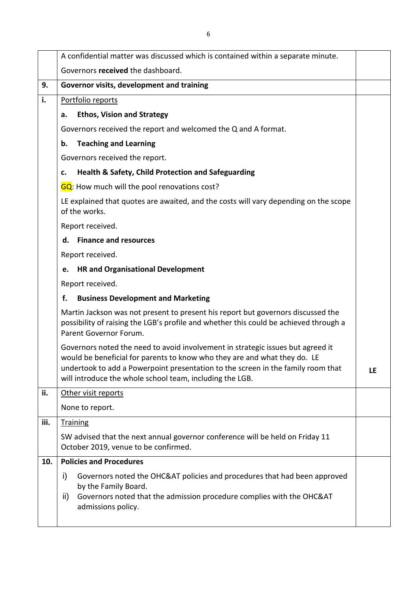|      | A confidential matter was discussed which is contained within a separate minute.                                                                                                                                                                                                                             |  |  |
|------|--------------------------------------------------------------------------------------------------------------------------------------------------------------------------------------------------------------------------------------------------------------------------------------------------------------|--|--|
|      | Governors received the dashboard.                                                                                                                                                                                                                                                                            |  |  |
| 9.   | Governor visits, development and training                                                                                                                                                                                                                                                                    |  |  |
| i.   | Portfolio reports                                                                                                                                                                                                                                                                                            |  |  |
|      | <b>Ethos, Vision and Strategy</b><br>a.                                                                                                                                                                                                                                                                      |  |  |
|      | Governors received the report and welcomed the Q and A format.                                                                                                                                                                                                                                               |  |  |
|      | <b>Teaching and Learning</b><br>b.                                                                                                                                                                                                                                                                           |  |  |
|      | Governors received the report.                                                                                                                                                                                                                                                                               |  |  |
|      | <b>Health &amp; Safety, Child Protection and Safeguarding</b><br>c.                                                                                                                                                                                                                                          |  |  |
|      | <b>GQ</b> : How much will the pool renovations cost?                                                                                                                                                                                                                                                         |  |  |
|      | LE explained that quotes are awaited, and the costs will vary depending on the scope<br>of the works.                                                                                                                                                                                                        |  |  |
|      | Report received.                                                                                                                                                                                                                                                                                             |  |  |
|      | <b>Finance and resources</b><br>d.                                                                                                                                                                                                                                                                           |  |  |
|      | Report received.                                                                                                                                                                                                                                                                                             |  |  |
|      | <b>HR and Organisational Development</b><br>e.                                                                                                                                                                                                                                                               |  |  |
|      | Report received.                                                                                                                                                                                                                                                                                             |  |  |
|      | f.<br><b>Business Development and Marketing</b>                                                                                                                                                                                                                                                              |  |  |
|      | Martin Jackson was not present to present his report but governors discussed the<br>possibility of raising the LGB's profile and whether this could be achieved through a<br>Parent Governor Forum.                                                                                                          |  |  |
|      | Governors noted the need to avoid involvement in strategic issues but agreed it<br>would be beneficial for parents to know who they are and what they do. LE<br>undertook to add a Powerpoint presentation to the screen in the family room that<br>will introduce the whole school team, including the LGB. |  |  |
| ii.  | Other visit reports                                                                                                                                                                                                                                                                                          |  |  |
|      | None to report.                                                                                                                                                                                                                                                                                              |  |  |
| iii. | <b>Training</b>                                                                                                                                                                                                                                                                                              |  |  |
|      | SW advised that the next annual governor conference will be held on Friday 11<br>October 2019, venue to be confirmed.                                                                                                                                                                                        |  |  |
| 10.  | <b>Policies and Procedures</b>                                                                                                                                                                                                                                                                               |  |  |
|      | i)<br>Governors noted the OHC&AT policies and procedures that had been approved<br>by the Family Board.<br>Governors noted that the admission procedure complies with the OHC&AT<br>ii)<br>admissions policy.                                                                                                |  |  |